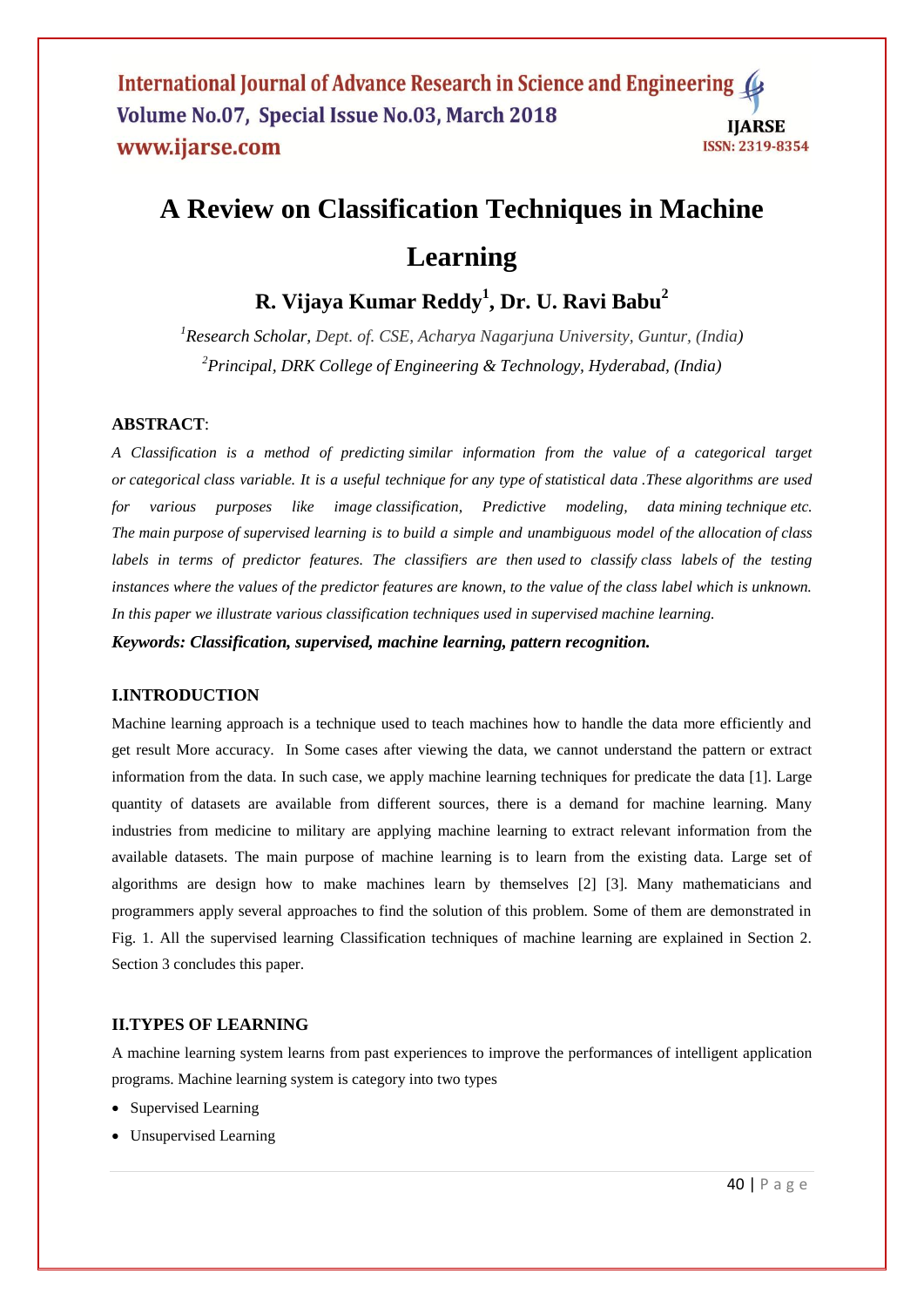# **A [Review on Classification Techniques](javascript:void(0)) in Machine Learning**

# **R. Vijaya Kumar Reddy<sup>1</sup> , Dr. U. Ravi Babu<sup>2</sup>**

*<sup>1</sup>Research Scholar, Dept. of. CSE, Acharya Nagarjuna University, Guntur, (India) <sup>2</sup>Principal, DRK College of Engineering & Technology, Hyderabad, (India)*

# **ABSTRACT**:

*A Classification is a method of predicting similar information from the value of a categorical target or categorical class variable. It is a useful technique for any type of statistical data .These algorithms are used for various purposes like image classification, Predictive modeling, data mining technique etc. The main purpose of supervised learning is to build a simple and unambiguous model of the allocation of class labels in terms of predictor features. The classifiers are then used to classify class labels of the testing instances where the values of the predictor features are known, to the value of the class label which is unknown. In this paper we illustrate various classification techniques used in supervised machine learning.*

*Keywords: Classification, supervised, machine learning, pattern recognition.*

# **I.INTRODUCTION**

Machine learning approach is a technique used to teach machines how to handle the data more efficiently and get result More accuracy. In Some cases after viewing the data, we cannot understand the pattern or extract information from the data. In such case, we apply machine learning techniques for predicate the data [1]. Large quantity of datasets are available from different sources, there is a demand for machine learning. Many industries from medicine to military are applying machine learning to extract relevant information from the available datasets. The main purpose of machine learning is to learn from the existing data. Large set of algorithms are design how to make machines learn by themselves [2] [3]. Many mathematicians and programmers apply several approaches to find the solution of this problem. Some of them are demonstrated in Fig. 1. All the supervised learning Classification techniques of machine learning are explained in Section 2. Section 3 concludes this paper.

# **II.TYPES OF LEARNING**

A machine learning system learns from past experiences to improve the performances of intelligent application programs. Machine learning system is category into two types

- Supervised Learning
- Unsupervised Learning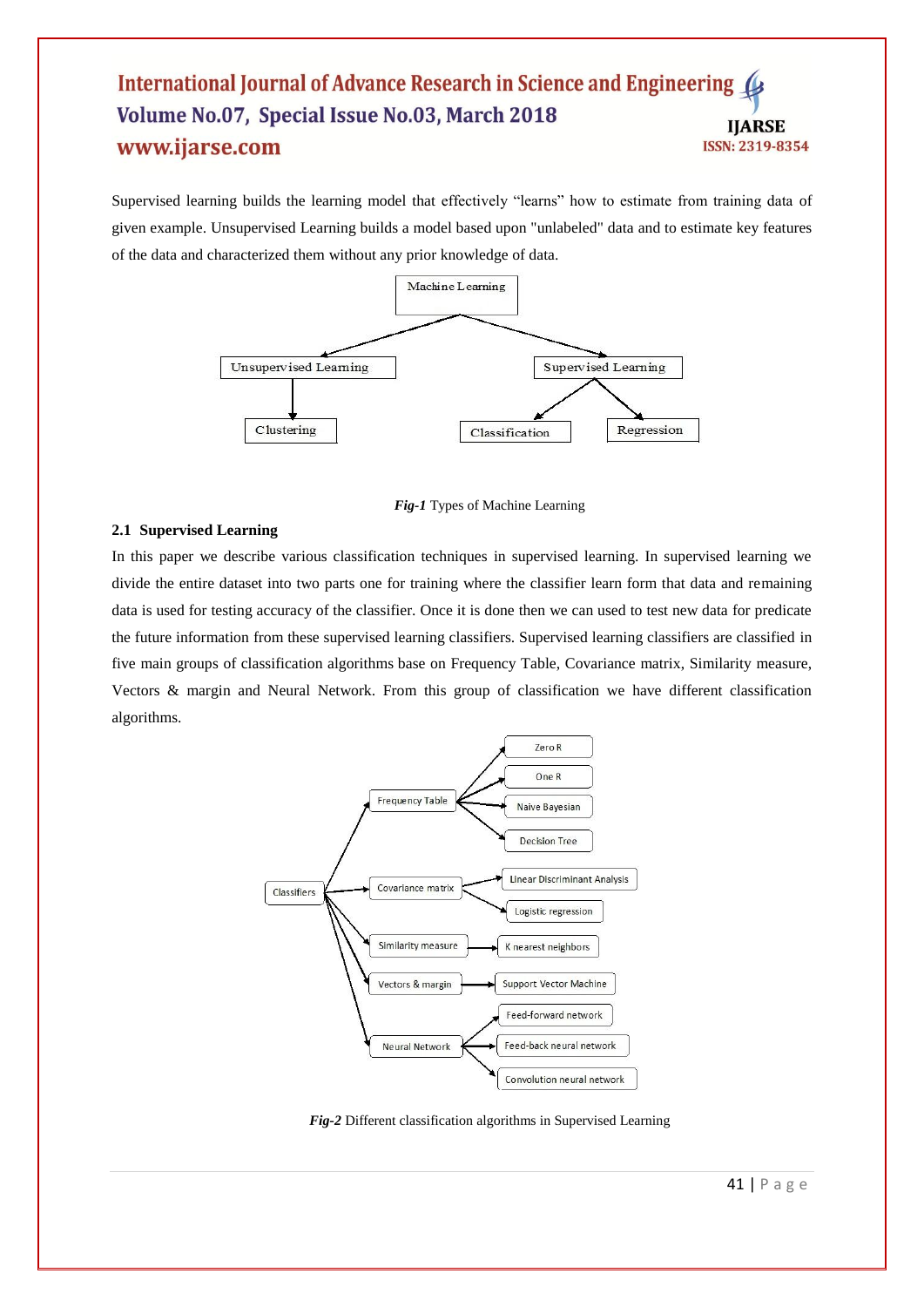Supervised learning builds the learning model that effectively "learns" how to estimate from training data of given example. Unsupervised Learning builds a model based upon "unlabeled" data and to estimate key features of the data and characterized them without any prior knowledge of data.



*Fig-1* Types of Machine Learning

# **2.1 Supervised Learning**

In this paper we describe various classification techniques in supervised learning. In supervised learning we divide the entire dataset into two parts one for training where the classifier learn form that data and remaining data is used for testing accuracy of the classifier. Once it is done then we can used to test new data for predicate the future information from these supervised learning classifiers. Supervised learning classifiers are classified in five main groups of classification algorithms base on Frequency Table, Covariance matrix, Similarity measure, Vectors & margin and Neural Network. From this group of classification we have different classification algorithms.



*Fig-2* Different classification algorithms in Supervised Learning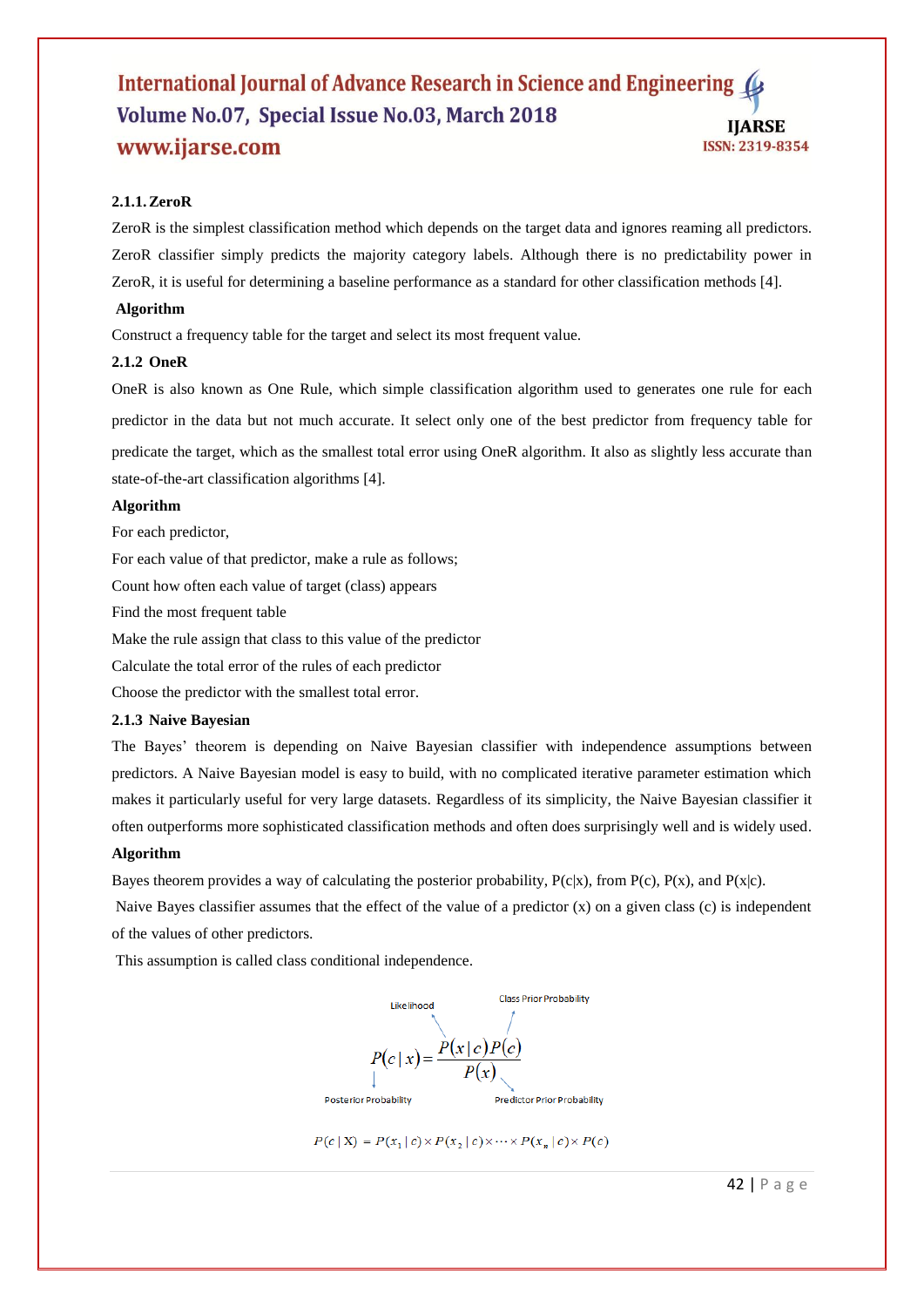# **2.1.1.ZeroR**

ZeroR is the simplest classification method which depends on the target data and ignores reaming all predictors. ZeroR classifier simply predicts the majority category labels. Although there is no predictability power in ZeroR, it is useful for determining a baseline performance as a standard for other classification methods [4].

#### **Algorithm**

Construct a frequency table for the target and select its most frequent value.

#### **2.1.2 OneR**

OneR is also known as One Rule, which simple classification algorithm used to generates one rule for each predictor in the data but not much accurate. It select only one of the best predictor from frequency table for predicate the target, which as the smallest total error using OneR algorithm. It also as slightly less accurate than state-of-the-art classification algorithms [4].

# **Algorithm**

For each predictor,

For each value of that predictor, make a rule as follows;

Count how often each value of target (class) appears

Find the most frequent table

Make the rule assign that class to this value of the predictor

Calculate the total error of the rules of each predictor

Choose the predictor with the smallest total error.

# **2.1.3 Naive Bayesian**

The Bayes' theorem is depending on Naive Bayesian classifier with independence assumptions between predictors. A Naive Bayesian model is easy to build, with no complicated iterative parameter estimation which makes it particularly useful for very large datasets. Regardless of its simplicity, the Naive Bayesian classifier it often outperforms more sophisticated classification methods and often does surprisingly well and is widely used.

# **Algorithm**

Bayes theorem provides a way of calculating the posterior probability,  $P(c|x)$ , from  $P(c)$ ,  $P(x)$ , and  $P(x|c)$ .

Naive Bayes classifier assumes that the effect of the value of a predictor (x) on a given class (c) is independent of the values of other predictors.

This assumption is called class conditional independence.





42 | P a g e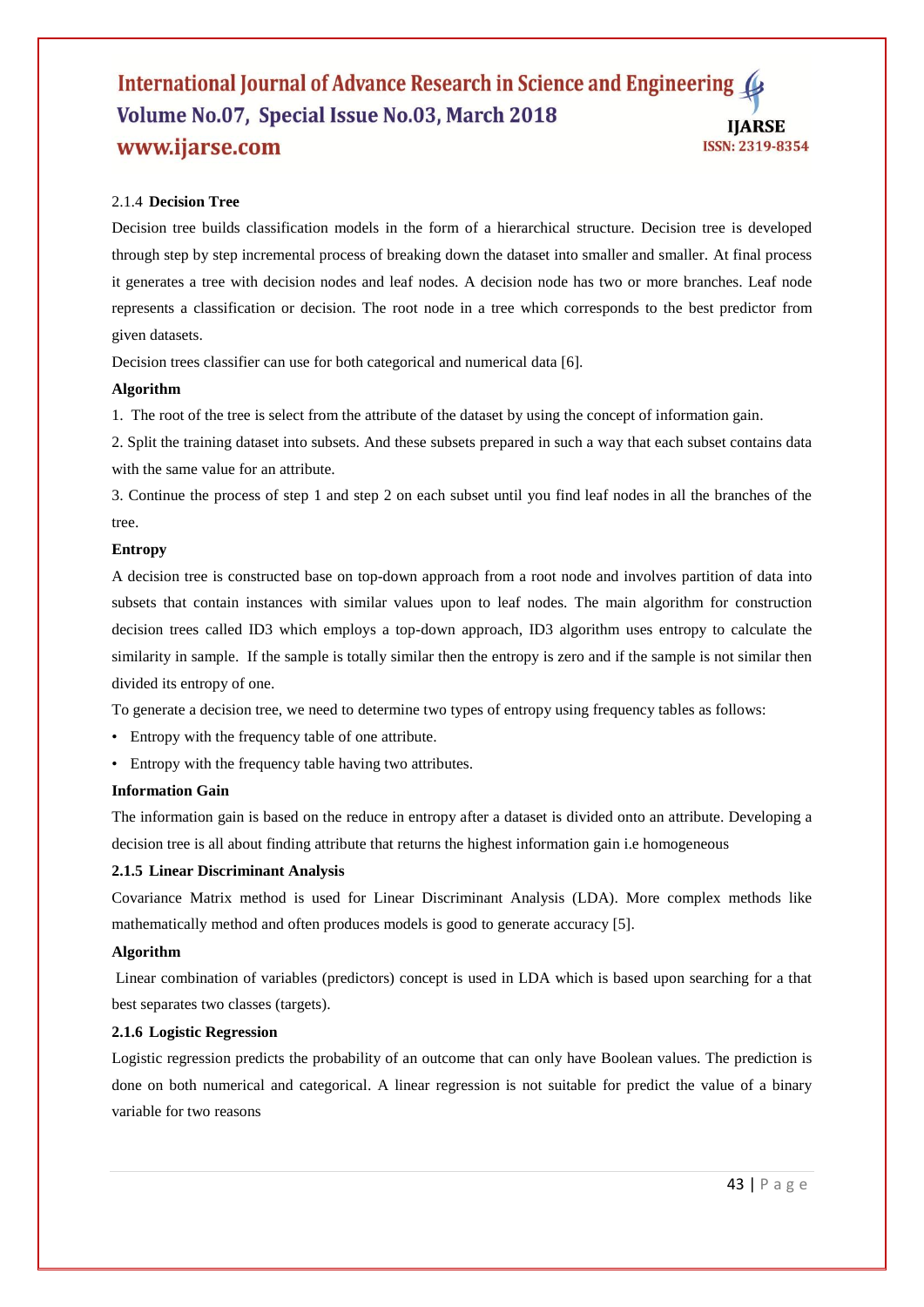# 2.1.4 **Decision Tree**

Decision tree builds classification models in the form of a hierarchical structure. Decision tree is developed through step by step incremental process of breaking down the dataset into smaller and smaller. At final process it generates a tree with decision nodes and leaf nodes. A decision node has two or more branches. Leaf node represents a classification or decision. The root node in a tree which corresponds to the best predictor from given datasets.

Decision trees classifier can use for both categorical and numerical data [6].

#### **Algorithm**

1. The root of the tree is select from the attribute of the dataset by using the concept of information gain.

2. Split the training dataset into subsets. And these subsets prepared in such a way that each subset contains data with the same value for an attribute.

3. Continue the process of step 1 and step 2 on each subset until you find leaf nodes in all the branches of the tree.

#### **Entropy**

A decision tree is constructed base on top-down approach from a root node and involves partition of data into subsets that contain instances with similar values upon to leaf nodes. The main algorithm for construction decision trees called ID3 which employs a top-down approach, ID3 algorithm uses entropy to calculate the similarity in sample. If the sample is totally similar then the entropy is zero and if the sample is not similar then divided its entropy of one.

To generate a decision tree, we need to determine two types of entropy using frequency tables as follows:

- Entropy with the frequency table of one attribute.
- Entropy with the frequency table having two attributes.

#### **Information Gain**

The information gain is based on the reduce in entropy after a dataset is divided onto an attribute. Developing a decision tree is all about finding attribute that returns the highest information gain i.e homogeneous

#### **2.1.5 Linear Discriminant Analysis**

Covariance Matrix method is used for Linear Discriminant Analysis (LDA). More complex methods like mathematically method and often produces models is good to generate accuracy [5].

#### **Algorithm**

Linear combination of variables (predictors) concept is used in LDA which is based upon searching for a that best separates two classes (targets).

#### **2.1.6 Logistic Regression**

Logistic regression predicts the probability of an outcome that can only have Boolean values. The prediction is done on both numerical and categorical. A linear regression is not suitable for predict the value of a binary variable for two reasons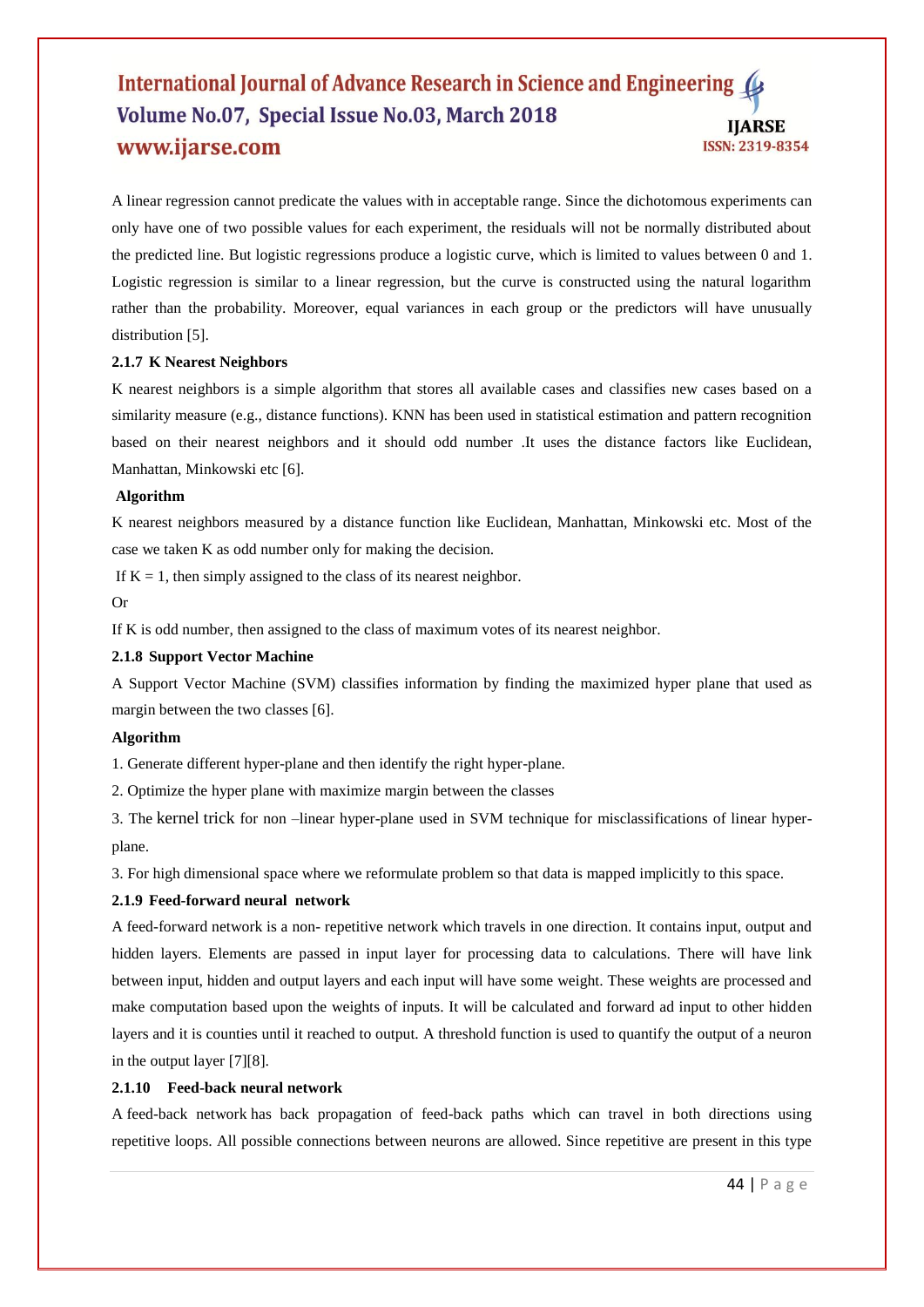A linear regression cannot predicate the values with in acceptable range. Since the dichotomous experiments can only have one of two possible values for each experiment, the residuals will not be normally distributed about the predicted line. But logistic regressions produce a logistic curve, which is limited to values between 0 and 1. Logistic regression is similar to a linear regression, but the curve is constructed using the natural logarithm rather than the probability. Moreover, equal variances in each group or the predictors will have unusually distribution [5].

#### **2.1.7 K Nearest Neighbors**

K nearest neighbors is a simple algorithm that stores all available cases and classifies new cases based on a similarity measure (e.g., distance functions). KNN has been used in statistical estimation and pattern recognition based on their nearest neighbors and it should odd number .It uses the distance factors like Euclidean, Manhattan, Minkowski etc [6].

#### **Algorithm**

K nearest neighbors measured by a distance function like Euclidean, Manhattan, Minkowski etc. Most of the case we taken K as odd number only for making the decision.

If  $K = 1$ , then simply assigned to the class of its nearest neighbor.

Or

If K is odd number, then assigned to the class of maximum votes of its nearest neighbor.

#### **2.1.8 Support Vector Machine**

A Support Vector Machine (SVM) classifies information by finding the maximized hyper plane that used as margin between the two classes [6].

#### **Algorithm**

1. Generate different hyper-plane and then identify the right hyper-plane.

2. Optimize the hyper plane with maximize margin between the classes

3. The [kernel](https://en.wikipedia.org/wiki/Kernel_method) trick for non –linear hyper-plane used in SVM technique for misclassifications of linear hyperplane.

3. For high dimensional space where we reformulate problem so that data is mapped implicitly to this space.

#### **2.1.9 Feed-forward neural network**

A feed-forward network is a non- repetitive network which travels in one direction. It contains input, output and hidden layers. Elements are passed in input layer for processing data to calculations. There will have link between input, hidden and output layers and each input will have some weight. These weights are processed and make computation based upon the weights of inputs. It will be calculated and forward ad input to other hidden layers and it is counties until it reached to output. A threshold function is used to quantify the output of a neuron in the output layer [7][8].

#### **2.1.10 Feed-back neural network**

A feed-back network has back propagation of feed-back paths which can travel in both directions using repetitive loops. All possible connections between neurons are allowed. Since repetitive are present in this type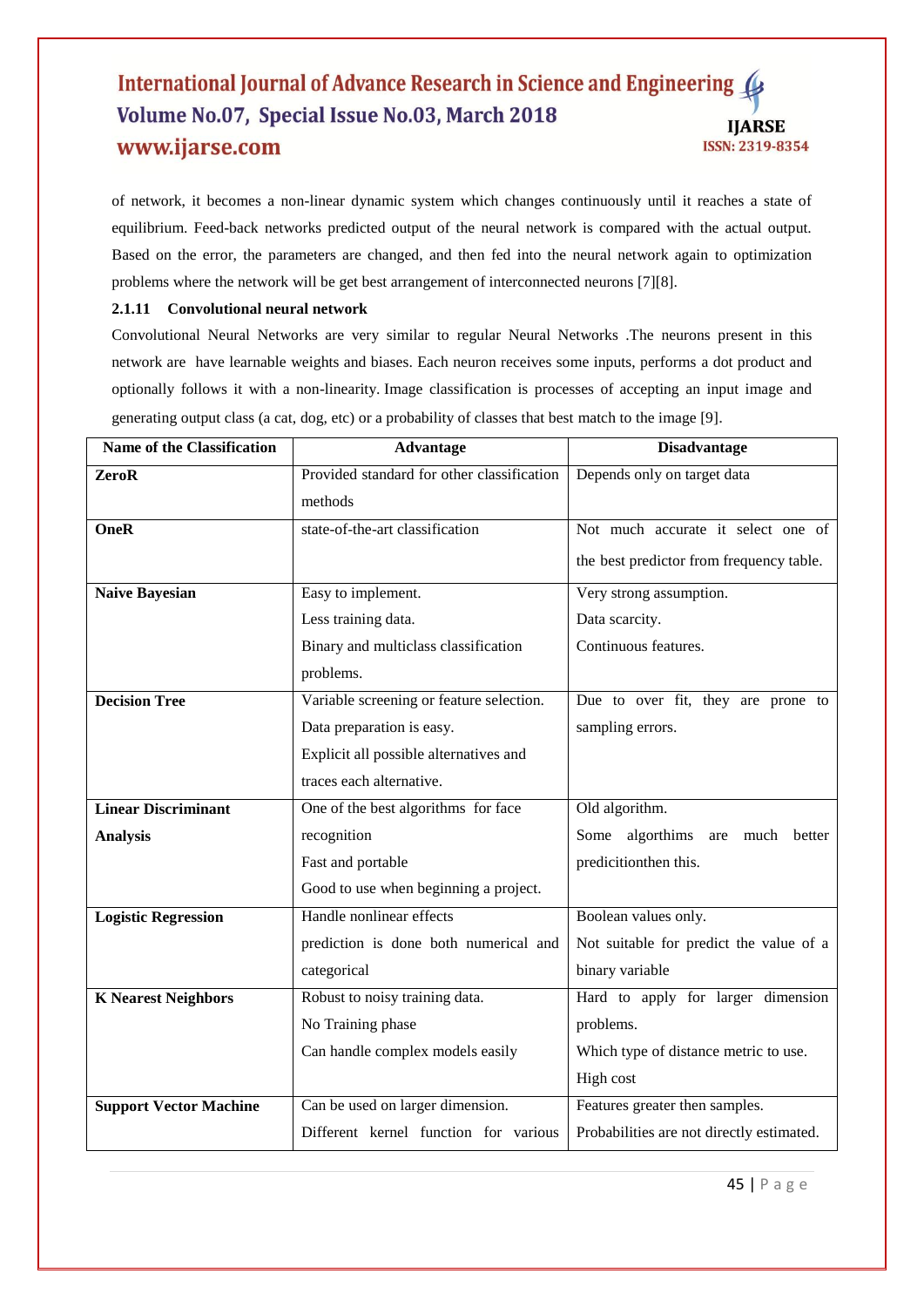of network, it becomes a non-linear dynamic system which changes continuously until it reaches a state of equilibrium. Feed-back networks predicted output of the neural network is compared with the actual output. Based on the error, the parameters are changed, and then fed into the neural network again to optimization problems where the network will be get best arrangement of interconnected neurons [7][8].

# **2.1.11 Convolutional neural network**

Convolutional Neural Networks are very similar to regular Neural Networks .The neurons present in this network are have learnable weights and biases. Each neuron receives some inputs, performs a dot product and optionally follows it with a non-linearity. Image classification is processes of accepting an input image and generating output class (a cat, dog, etc) or a probability of classes that best match to the image [9].

| <b>Name of the Classification</b> | <b>Advantage</b>                           | <b>Disadvantage</b>                         |
|-----------------------------------|--------------------------------------------|---------------------------------------------|
| ZeroR                             | Provided standard for other classification | Depends only on target data                 |
|                                   | methods                                    |                                             |
| <b>OneR</b>                       | state-of-the-art classification            | Not much accurate it select one of          |
|                                   |                                            | the best predictor from frequency table.    |
| <b>Naive Bayesian</b>             | Easy to implement.                         | Very strong assumption.                     |
|                                   | Less training data.                        | Data scarcity.                              |
|                                   | Binary and multiclass classification       | Continuous features.                        |
|                                   | problems.                                  |                                             |
| <b>Decision Tree</b>              | Variable screening or feature selection.   | Due to over fit, they are prone to          |
|                                   | Data preparation is easy.                  | sampling errors.                            |
|                                   | Explicit all possible alternatives and     |                                             |
|                                   | traces each alternative.                   |                                             |
| <b>Linear Discriminant</b>        | One of the best algorithms for face        | Old algorithm.                              |
| <b>Analysis</b>                   | recognition                                | algorthims<br>Some<br>much<br>are<br>better |
|                                   | Fast and portable                          | predicitionthen this.                       |
|                                   | Good to use when beginning a project.      |                                             |
| <b>Logistic Regression</b>        | Handle nonlinear effects                   | Boolean values only.                        |
|                                   | prediction is done both numerical and      | Not suitable for predict the value of a     |
|                                   | categorical                                | binary variable                             |
| <b>K</b> Nearest Neighbors        | Robust to noisy training data.             | Hard to apply for larger dimension          |
|                                   | No Training phase                          | problems.                                   |
|                                   | Can handle complex models easily           | Which type of distance metric to use.       |
|                                   |                                            | High cost                                   |
| <b>Support Vector Machine</b>     | Can be used on larger dimension.           | Features greater then samples.              |
|                                   | Different kernel function for various      | Probabilities are not directly estimated.   |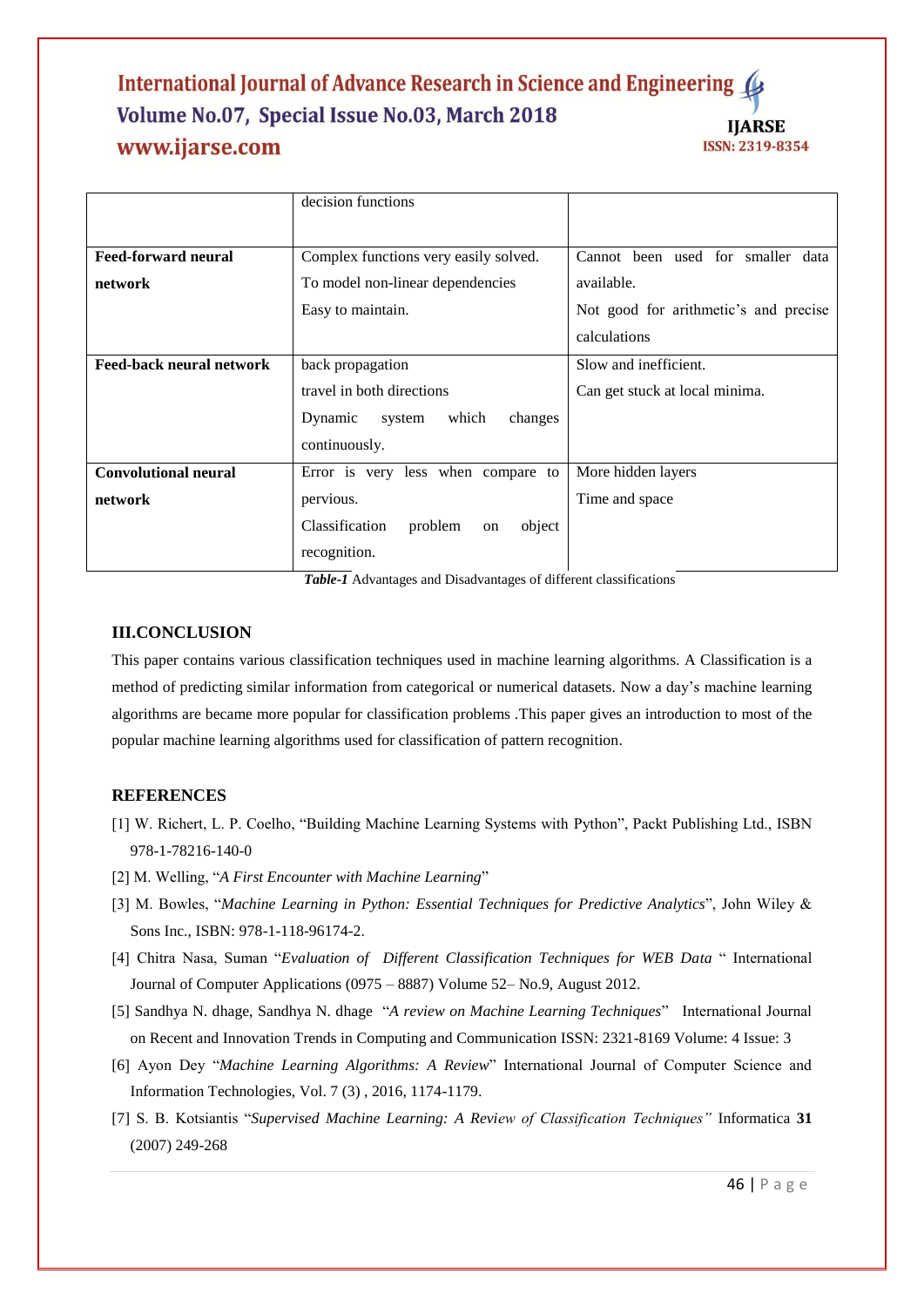|                                 | decision functions                         |                                       |
|---------------------------------|--------------------------------------------|---------------------------------------|
|                                 |                                            |                                       |
| <b>Feed-forward neural</b>      | Complex functions very easily solved.      | Cannot been used for smaller data     |
| network                         | To model non-linear dependencies           | available.                            |
|                                 | Easy to maintain.                          | Not good for arithmetic's and precise |
|                                 |                                            | calculations                          |
| <b>Feed-back neural network</b> | back propagation                           | Slow and inefficient.                 |
|                                 | travel in both directions                  | Can get stuck at local minima.        |
|                                 | Dynamic<br>which<br>changes<br>system      |                                       |
|                                 | continuously.                              |                                       |
| <b>Convolutional neural</b>     | Error is very less when compare to         | More hidden layers                    |
| network                         | pervious.                                  | Time and space                        |
|                                 | Classification<br>problem<br>object<br>on  |                                       |
|                                 | recognition.<br>$-11 - 11$<br>$\mathbf{1}$ | $\sim 11.00$ $\sim 1$                 |

*Table-1* Advantages and Disadvantages of different classifications

# **III.CONCLUSION**

This paper contains various classification techniques used in machine learning algorithms. A Classification is a method of predicting similar information from categorical or numerical datasets. Now a day's machine learning algorithms are became more popular for classification problems .This paper gives an introduction to most of the popular machine learning algorithms used for classification of pattern recognition.

# **REFERENCES**

- [1] W. Richert, L. P. Coelho, "Building Machine Learning Systems with Python", Packt Publishing Ltd., ISBN 978-1-78216-140-0
- [2] M. Welling, "*A First Encounter with Machine Learning*"
- [3] M. Bowles, "*Machine Learning in Python: Essential Techniques for Predictive Analytics*", John Wiley & Sons Inc., ISBN: 978-1-118-96174-2.
- [4] Chitra Nasa, Suman "*Evaluation of Different Classification Techniques for WEB Data* " International Journal of Computer Applications (0975 – 8887) Volume 52– No.9, August 2012.
- [5] Sandhya N. dhage, Sandhya N. dhage "*A review on Machine Learning Techniques*" International Journal on Recent and Innovation Trends in Computing and Communication ISSN: 2321-8169 Volume: 4 Issue: 3
- [6] Ayon Dey "*Machine Learning Algorithms: A Review*" International Journal of Computer Science and Information Technologies, Vol. 7 (3) , 2016, 1174-1179.
- [7] S. B. Kotsiantis "*Supervised Machine Learning: A Review of Classification Techniques"* Informatica **31**  (2007) 249-268